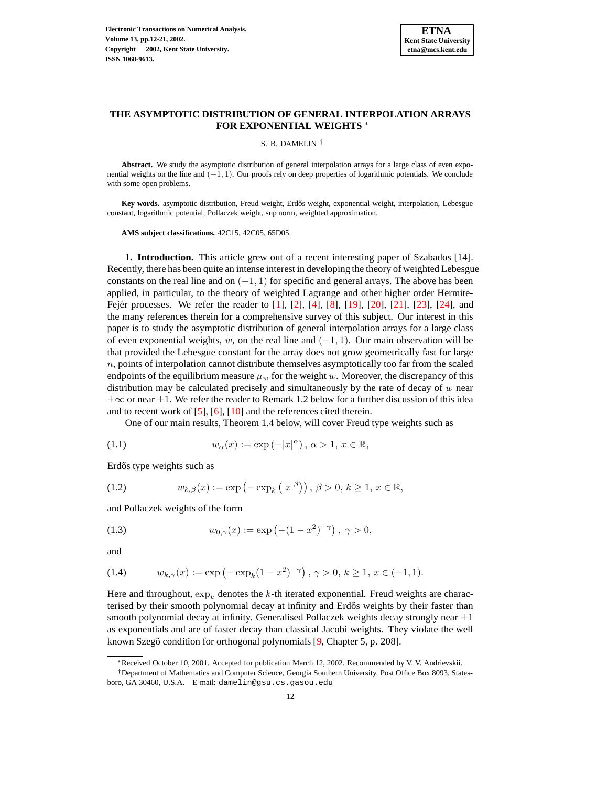

# **THE ASYMPTOTIC DISTRIBUTION OF GENERAL INTERPOLATION ARRAYS FOR EXPONENTIAL WEIGHTS** <sup>∗</sup>

S. B. DAMELIN †

**Abstract.** We study the asymptotic distribution of general interpolation arrays for a large class of even exponential weights on the line and (−1, 1). Our proofs rely on deep properties of logarithmic potentials. We conclude with some open problems.

Key words. asymptotic distribution, Freud weight, Erdős weight, exponential weight, interpolation, Lebesgue constant, logarithmic potential, Pollaczek weight, sup norm, weighted approximation.

**AMS subject classifications.** 42C15, 42C05, 65D05.

**1. Introduction.** This article grew out of a recent interesting paper of Szabados [14]. Recently, there has been quite an intense interest in developing the theory of weighted Lebesgue constants on the real line and on  $(-1, 1)$  for specific and general arrays. The above has been applied, in particular, to the theory of weighted Lagrange and other higher order Hermite-Fejér processes. We refer the reader to  $[1]$ ,  $[2]$ ,  $[4]$ ,  $[8]$ ,  $[19]$ ,  $[20]$ ,  $[21]$ ,  $[23]$ ,  $[24]$ , and the many references therein for a comprehensive survey of this subject. Our interest in this paper is to study the asymptotic distribution of general interpolation arrays for a large class of even exponential weights, w, on the real line and  $(-1, 1)$ . Our main observation will be that provided the Lebesgue constant for the array does not grow geometrically fast for large  $n$ , points of interpolation cannot distribute themselves asymptotically too far from the scaled endpoints of the equilibrium measure  $\mu_w$  for the weight w. Moreover, the discrepancy of this distribution may be calculated precisely and simultaneously by the rate of decay of  $w$  near  $\pm\infty$  or near  $\pm1$ . We refer the reader to Remark 1.2 below for a further discussion of this idea and to recent work of [\[5\]](#page-8-4), [\[6\]](#page-8-5), [\[10\]](#page-8-6) and the references cited therein.

One of our main results, Theorem 1.4 below, will cover Freud type weights such as

(1.1) 
$$
w_{\alpha}(x) := \exp(-|x|^{\alpha}), \ \alpha > 1, \ x \in \mathbb{R},
$$

Erdős type weights such as

(1.2) 
$$
w_{k,\beta}(x) := \exp(-\exp_k(|x|^{\beta})), \ \beta > 0, \ k \ge 1, \ x \in \mathbb{R},
$$

and Pollaczek weights of the form

(1.3) 
$$
w_{0,\gamma}(x) := \exp(-(1-x^2)^{-\gamma}), \ \gamma > 0,
$$

and

(1.4) 
$$
w_{k,\gamma}(x) := \exp\left(-\exp_k(1-x^2)^{-\gamma}\right), \, \gamma > 0, \, k \ge 1, \, x \in (-1,1).
$$

Here and throughout,  $\exp_k$  denotes the k-th iterated exponential. Freud weights are characterised by their smooth polynomial decay at infinity and Erdős weights by their faster than smooth polynomial decay at infinity. Generalised Pollaczek weights decay strongly near  $\pm 1$ as exponentials and are of faster decay than classical Jacobi weights. They violate the well known Szegő condition for orthogonal polynomials [\[9,](#page-8-7) Chapter 5, p. 208].

<sup>∗</sup>Received October 10, 2001. Accepted for publication March 12, 2002. Recommended by V. V. Andrievskii.

<sup>†</sup>Department of Mathematics and Computer Science, Georgia Southern University, Post Office Box 8093, Statesboro, GA 30460, U.S.A. E-mail: damelin@gsu.cs.gasou.edu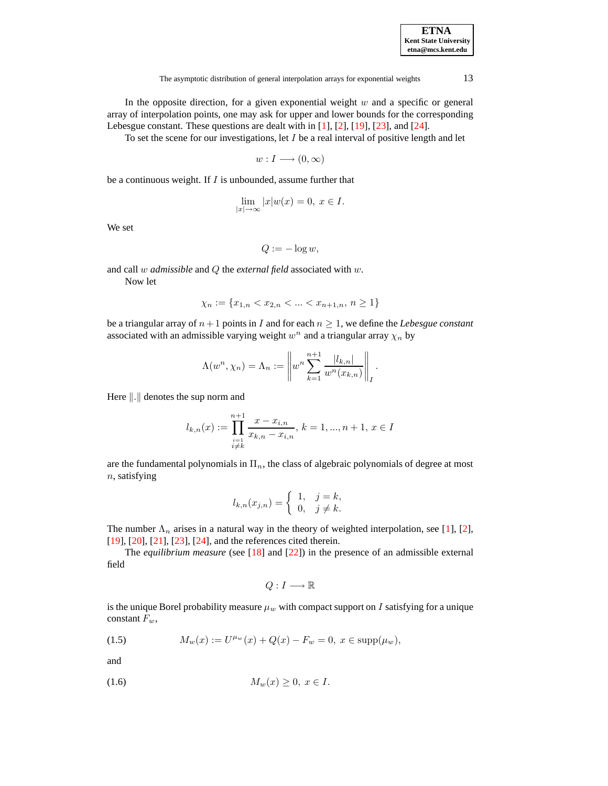| <b>ETNA</b>           |
|-----------------------|
| Kent State University |
| etna@mcs.kent.edu     |

In the opposite direction, for a given exponential weight  $w$  and a specific or general array of interpolation points, one may ask for upper and lower bounds for the corresponding Lebesgue constant. These questions are dealt with in [\[1\]](#page-8-0), [\[2\]](#page-8-1), [\[19\]](#page-9-0), [\[23\]](#page-9-3), and [\[24\]](#page-9-4).

To set the scene for our investigations, let  $I$  be a real interval of positive length and let

$$
w: I \longrightarrow (0, \infty)
$$

be a continuous weight. If  $I$  is unbounded, assume further that

$$
\lim_{|x| \to \infty} |x|w(x) = 0, \ x \in I.
$$

We set

$$
Q:=-\log w,
$$

and call w *admissible* and Q the *external field* associated with w.

Now let

$$
\chi_n := \{ x_{1,n} < x_{2,n} < \dots < x_{n+1,n}, \, n \ge 1 \}
$$

be a triangular array of  $n+1$  points in I and for each  $n \geq 1$ , we define the *Lebesgue* constant associated with an admissible varying weight  $w<sup>n</sup>$  and a triangular array  $\chi<sub>n</sub>$  by

$$
\Lambda(w^{n}, \chi_{n}) = \Lambda_{n} := \left\| w^{n} \sum_{k=1}^{n+1} \frac{|l_{k,n}|}{w^{n}(x_{k,n})} \right\|_{I}.
$$

Here  $\Vert . \Vert$  denotes the sup norm and

$$
l_{k,n}(x) := \prod_{\substack{i=1 \ i \neq k}}^{n+1} \frac{x - x_{i,n}}{x_{k,n} - x_{i,n}}, \, k = 1, ..., n+1, \, x \in I
$$

are the fundamental polynomials in  $\Pi_n$ , the class of algebraic polynomials of degree at most  $n$ , satisfying

$$
l_{k,n}(x_{j,n}) = \begin{cases} 1, & j=k, \\ 0, & j \neq k. \end{cases}
$$

The number  $\Lambda_n$  arises in a natural way in the theory of weighted interpolation, see [\[1\]](#page-8-0), [\[2\]](#page-8-1), [\[19\]](#page-9-0), [\[20\]](#page-9-1), [\[21\]](#page-9-2), [\[23\]](#page-9-3), [\[24\]](#page-9-4), and the references cited therein.

The *equilibrium measure* (see [\[18\]](#page-8-8) and [\[22\]](#page-9-5)) in the presence of an admissible external field

$$
Q:I\longrightarrow \mathbb{R}
$$

is the unique Borel probability measure  $\mu_w$  with compact support on I satisfying for a unique constant  $F_w$ ,

(1.5) 
$$
M_w(x) := U^{\mu_w}(x) + Q(x) - F_w = 0, \ x \in \text{supp}(\mu_w),
$$

and

$$
(1.6) \t\t M_w(x) \ge 0, \ x \in I.
$$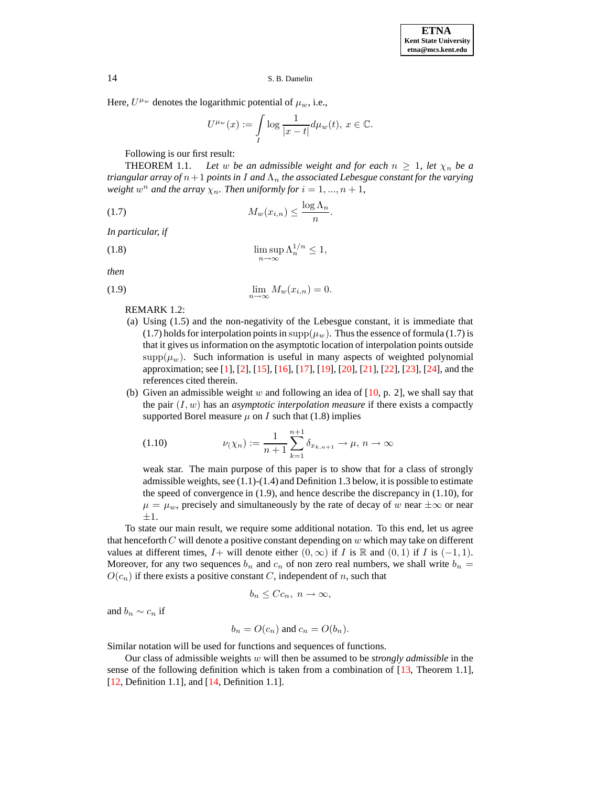Here,  $U^{\mu_w}$  denotes the logarithmic potential of  $\mu_w$ , i.e.,

$$
U^{\mu_w}(x) := \int\limits_I \log \frac{1}{|x-t|} d\mu_w(t), \, x \in \mathbb{C}.
$$

Following is our first result:

**THEOREM** 1.1. Let w be an admissible weight and for each  $n \geq 1$ , let  $\chi_n$  be a *triangular array of* n+1 *points in* I *and* Λ<sup>n</sup> *the associated Lebesgue constant for the varying*  $weight w<sup>n</sup>$  *and the array*  $\chi_n$ . *Then uniformly for*  $i = 1, ..., n + 1$ ,

$$
(1.7) \t\t\t M_w(x_{i,n}) \le \frac{\log \Lambda_n}{n}.
$$

*In particular, if*

$$
\limsup_{n \to \infty} \Lambda_n^{1/n} \le 1,
$$

*then*

$$
\lim_{n \to \infty} M_w(x_{i,n}) = 0.
$$

REMARK 1.2:

- (a) Using (1.5) and the non-negativity of the Lebesgue constant, it is immediate that (1.7) holds for interpolation points in  $supp(\mu_w)$ . Thus the essence of formula (1.7) is that it gives us information on the asymptotic location of interpolation points outside  $\text{supp}(\mu_w)$ . Such information is useful in many aspects of weighted polynomial approximation; see [\[1\]](#page-8-0), [\[2\]](#page-8-1), [\[15\]](#page-8-9), [\[16\]](#page-8-10), [\[17\]](#page-8-11), [\[19\]](#page-9-0), [\[20\]](#page-9-1), [\[21\]](#page-9-2), [\[22\]](#page-9-5), [\[23\]](#page-9-3), [\[24\]](#page-9-4), and the references cited therein.
- (b) Given an admissible weight w and following an idea of  $[10, p. 2]$  $[10, p. 2]$ , we shall say that the pair  $(I, w)$  has an *asymptotic interpolation measure* if there exists a compactly supported Borel measure  $\mu$  on I such that (1.8) implies

(1.10) 
$$
\nu(\chi_n) := \frac{1}{n+1} \sum_{k=1}^{n+1} \delta_{x_{k,n+1}} \to \mu, n \to \infty
$$

weak star. The main purpose of this paper is to show that for a class of strongly admissible weights, see  $(1.1)$ - $(1.4)$  and Definition 1.3 below, it is possible to estimate the speed of convergence in (1.9), and hence describe the discrepancy in (1.10), for  $\mu = \mu_w$ , precisely and simultaneously by the rate of decay of w near  $\pm \infty$  or near ±1.

To state our main result, we require some additional notation. To this end, let us agree that henceforth  $C$  will denote a positive constant depending on  $w$  which may take on different values at different times,  $I+$  will denote either  $(0, \infty)$  if I is R and  $(0, 1)$  if I is  $(-1, 1)$ . Moreover, for any two sequences  $b_n$  and  $c_n$  of non zero real numbers, we shall write  $b_n =$  $O(c_n)$  if there exists a positive constant C, independent of n, such that

$$
b_n \leq Cc_n, \ n \to \infty,
$$

and  $b_n \sim c_n$  if

$$
b_n = O(c_n) \text{ and } c_n = O(b_n).
$$

Similar notation will be used for functions and sequences of functions.

Our class of admissible weights w will then be assumed to be *strongly admissible* in the sense of the following definition which is taken from a combination of [\[13,](#page-8-12) Theorem 1.1], [\[12,](#page-8-13) Definition 1.1], and [\[14,](#page-8-14) Definition 1.1].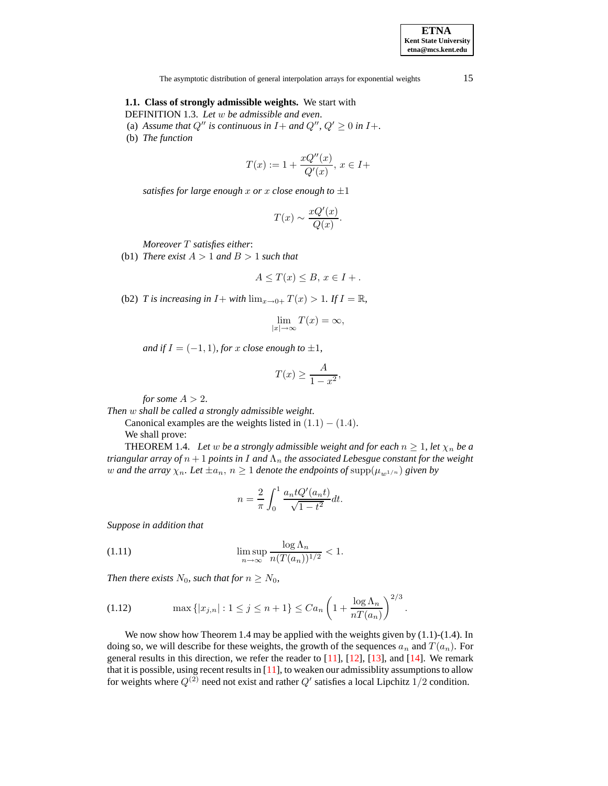**ETNA Kent State University etna@mcs.kent.edu**

The asymptotic distribution of general interpolation arrays for exponential weights 15

## **1.1. Class of strongly admissible weights.** We start with

DEFINITION 1.3. *Let* w *be admissible and even*.

- (a) Assume that  $Q''$  is continuous in  $I +$  and  $Q''$ ,  $Q' \geq 0$  in  $I +$ .
- (b) *The function*

$$
T(x) := 1 + \frac{xQ''(x)}{Q'(x)}, \, x \in I +
$$

*satisfies for large enough* x or x *close enough* to  $\pm 1$ 

$$
T(x) \sim \frac{xQ'(x)}{Q(x)}.
$$

*Moreover* T *satisfies either*:

(b1) *There exist*  $A > 1$  *and*  $B > 1$  *such that* 

$$
A \leq T(x) \leq B, x \in I + .
$$

(b2) *T* is increasing in  $I$  + with  $\lim_{x\to 0+} T(x) > 1$ . If  $I = \mathbb{R}$ ,

$$
\lim_{|x| \to \infty} T(x) = \infty,
$$

*and* if  $I = (-1, 1)$ *, for* x *close enough* to  $\pm 1$ *,* 

$$
T(x) \ge \frac{A}{1 - x^2},
$$

*for some*  $A > 2$ .

*Then* w *shall be called a strongly admissible weight*.

Canonical examples are the weights listed in  $(1.1) - (1.4)$ . We shall prove:

THEOREM 1.4. *Let w be a strongly admissible weight and for each*  $n \ge 1$ *, let*  $\chi_n$  *be a triangular array of*  $n + 1$  *points in* I *and*  $\Lambda_n$  *the associated Lebesgue constant for the weight* w and the array  $\chi_n$ . Let  $\pm a_n$ ,  $n \geq 1$  denote the endpoints of  $\text{supp}(\mu_{w^{1/n}})$  given by

$$
n = \frac{2}{\pi} \int_0^1 \frac{a_n t Q'(a_n t)}{\sqrt{1 - t^2}} dt.
$$

*Suppose in addition that*

(1.11) 
$$
\limsup_{n \to \infty} \frac{\log \Lambda_n}{n(T(a_n))^{1/2}} < 1.
$$

*Then there exists*  $N_0$ *, such that for*  $n \geq N_0$ *,* 

(1.12) 
$$
\max\{|x_{j,n}|:1\leq j\leq n+1\}\leq Ca_n\left(1+\frac{\log\Lambda_n}{nT(a_n)}\right)^{2/3}.
$$

We now show how Theorem 1.4 may be applied with the weights given by  $(1.1)-(1.4)$ . In doing so, we will describe for these weights, the growth of the sequences  $a_n$  and  $T(a_n)$ . For general results in this direction, we refer the reader to  $[11]$ ,  $[12]$ ,  $[13]$ , and  $[14]$ . We remark that it is possible, using recent results in [\[11\]](#page-8-15), to weaken our admissiblity assumptionsto allow for weights where  $Q^{(2)}$  need not exist and rather  $Q'$  satisfies a local Lipchitz 1/2 condition.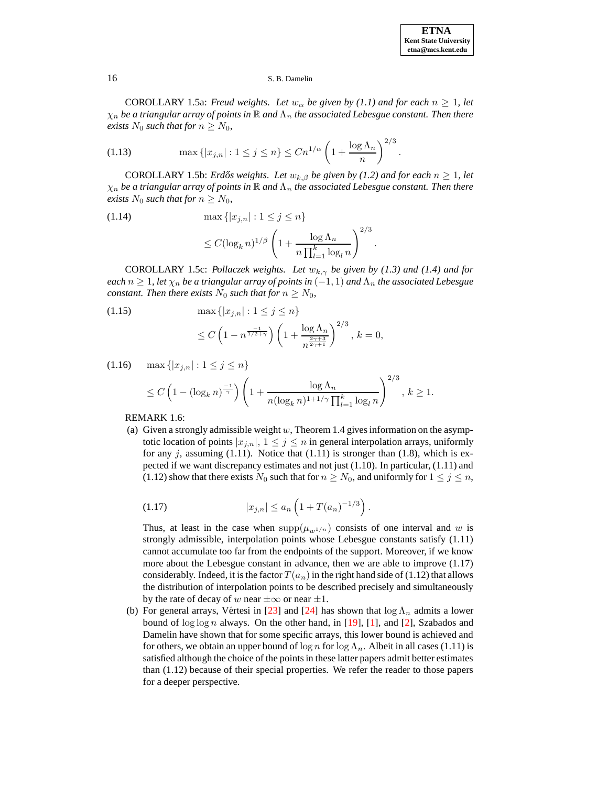COROLLARY 1.5a: *Freud* weights. Let  $w_{\alpha}$  be given by (1.1) and for each  $n \geq 1$ , let  $\chi_n$  *be* a triangular array of points in  $\mathbb R$  and  $\Lambda_n$  the associated Lebesgue constant. Then there *exists*  $N_0$  *such that for*  $n \geq N_0$ *,* 

(1.13) 
$$
\max\{|x_{j,n}| : 1 \le j \le n\} \le Cn^{1/\alpha} \left(1 + \frac{\log \Lambda_n}{n}\right)^{2/3}.
$$

COROLLARY 1.5b: *Erdős* weights. Let  $w_{k,\beta}$  be given by (1.2) and for each  $n \geq 1$ , let  $\chi_n$  be a triangular array of points in  $\mathbb R$  and  $\Lambda_n$  the associated Lebesgue constant. Then there *exists*  $N_0$  *such that for*  $n \geq N_0$ *,* 

(1.14) 
$$
\max \{|x_{j,n}| : 1 \le j \le n\}
$$

$$
\le C(\log_k n)^{1/\beta} \left(1 + \frac{\log \Lambda_n}{n \prod_{l=1}^k \log_l n}\right)^{2/3}
$$

COROLLARY 1.5c: *Pollaczek weights. Let*  $w_{k,\gamma}$  *be given by* (1.3) *and* (1.4) *and for*  $\chi$  *each*  $n \geq 1$ , *let*  $\chi$ <sub>n</sub> *be a triangular array of points in* (-1, 1) *and*  $\Lambda$ <sub>n</sub> *the associated Lebesgue constant. Then there exists*  $N_0$  *such that for*  $n \geq N_0$ ,

.

 $\geq 1$ .

(1.15) 
$$
\max\{|x_{j,n}| : 1 \le j \le n\}
$$

$$
\le C\left(1 - n^{\frac{-1}{1/2+\gamma}}\right)\left(1 + \frac{\log \Lambda_n}{n^{\frac{2\gamma+3}{2\gamma+1}}}\right)^{2/3}, k = 0,
$$

$$
(1.16) \quad \max\{|x_{j,n}| : 1 \le j \le n\}
$$
  
 
$$
\le C\left(1 - (\log_k n)^{\frac{-1}{\gamma}}\right) \left(1 + \frac{\log \Lambda_n}{n(\log_k n)^{1+1/\gamma} \prod_{l=1}^k \log_l n}\right)^{2/3}, k
$$

REMARK 1.6:

(a) Given a strongly admissible weight  $w$ , Theorem 1.4 gives information on the asymptotic location of points  $|x_{j,n}|$ ,  $1 \leq j \leq n$  in general interpolation arrays, uniformly for any  $j$ , assuming (1.11). Notice that (1.11) is stronger than (1.8), which is expected if we want discrepancy estimates and not just (1.10). In particular, (1.11) and (1.12) show that there exists  $N_0$  such that for  $n \ge N_0$ , and uniformly for  $1 \le j \le n$ ,

(1.17) 
$$
|x_{j,n}| \le a_n \left(1 + T(a_n)^{-1/3}\right).
$$

Thus, at least in the case when  $supp(\mu_{w^{1/n}})$  consists of one interval and w is strongly admissible, interpolation points whose Lebesgue constants satisfy (1.11) cannot accumulate too far from the endpoints of the support. Moreover, if we know more about the Lebesgue constant in advance, then we are able to improve (1.17) considerably. Indeed, it is the factor  $T(a_n)$  in the right hand side of (1.12) that allows the distribution of interpolation points to be described precisely and simultaneously by the rate of decay of w near  $\pm\infty$  or near  $\pm1$ .

(b) For general arrays, Vértesi in [\[23\]](#page-9-3) and [\[24\]](#page-9-4) has shown that  $\log \Lambda_n$  admits a lower bound of  $\log \log n$  always. On the other hand, in [\[19\]](#page-9-0), [\[1\]](#page-8-0), and [\[2\]](#page-8-1), Szabados and Damelin have shown that for some specific arrays, this lower bound is achieved and for others, we obtain an upper bound of  $\log n$  for  $\log \Lambda_n$ . Albeit in all cases (1.11) is satisfied although the choice of the pointsin these latter papers admit better estimates than (1.12) because of their special properties. We refer the reader to those papers for a deeper perspective.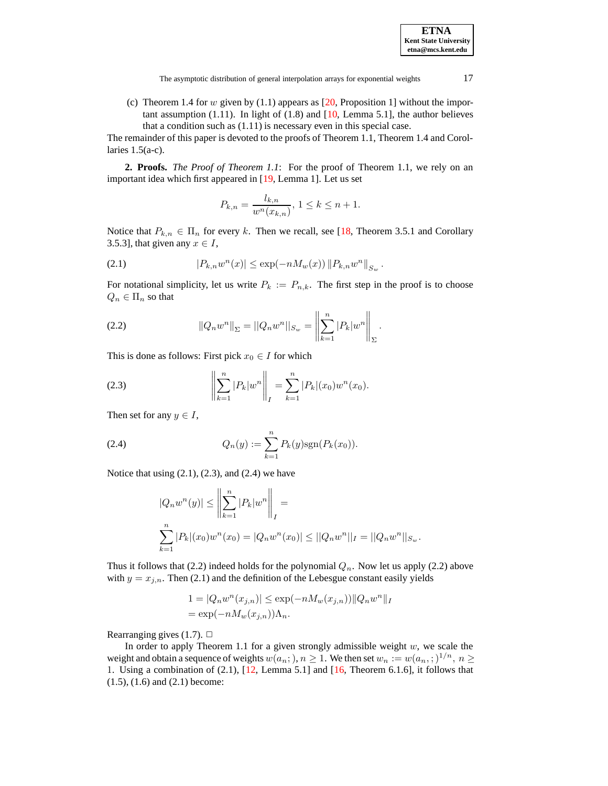The asymptotic distribution of general interpolation arrays for exponential weights 17

(c) Theorem 1.4 for w given by  $(1.1)$  appears as  $[20,$  Proposition 1] without the important assumption (1.11). In light of (1.8) and  $[10, \text{Lemma 5.1}]$  $[10, \text{Lemma 5.1}]$ , the author believes that a condition such as (1.11) is necessary even in this special case.

The remainder of this paper is devoted to the proofs of Theorem 1.1, Theorem 1.4 and Corollaries  $1.5(a-c)$ .

**2. Proofs.** *The Proof of Theorem 1.1*: For the proof of Theorem 1.1, we rely on an important idea which first appeared in [\[19,](#page-9-0) Lemma 1]. Let us set

$$
P_{k,n} = \frac{l_{k,n}}{w^n(x_{k,n})}, \ 1 \le k \le n+1.
$$

Notice that  $P_{k,n} \in \Pi_n$  for every k. Then we recall, see [\[18,](#page-8-8) Theorem 3.5.1 and Corollary 3.5.3], that given any  $x \in I$ ,

(2.1) 
$$
|P_{k,n}w^n(x)| \le \exp(-nM_w(x)) \|P_{k,n}w^n\|_{S_w}.
$$

For notational simplicity, let us write  $P_k := P_{n,k}$ . The first step in the proof is to choose  $Q_n \in \Pi_n$  so that

(2.2) 
$$
||Q_n w^n||_{\Sigma} = ||Q_n w^n||_{S_w} = \left\| \sum_{k=1}^n |P_k| w^n \right\|_{\Sigma}.
$$

This is done as follows: First pick  $x_0 \in I$  for which

(2.3) 
$$
\left\| \sum_{k=1}^{n} |P_k| w^n \right\|_I = \sum_{k=1}^{n} |P_k|(x_0) w^n(x_0).
$$

Then set for any  $y \in I$ ,

(2.4) 
$$
Q_n(y) := \sum_{k=1}^n P_k(y) \text{sgn}(P_k(x_0)).
$$

Notice that using  $(2.1)$ ,  $(2.3)$ , and  $(2.4)$  we have

$$
|Q_n w^n(y)| \le \left\| \sum_{k=1}^n |P_k| w^n \right\|_I =
$$
  

$$
\sum_{k=1}^n |P_k|(x_0) w^n(x_0) = |Q_n w^n(x_0)| \le ||Q_n w^n||_I = ||Q_n w^n||_{S_w}.
$$

Thus it follows that (2.2) indeed holds for the polynomial  $Q_n$ . Now let us apply (2.2) above with  $y = x_{j,n}$ . Then (2.1) and the definition of the Lebesgue constant easily yields

$$
1 = |Q_n w^n(x_{j,n})| \le \exp(-n M_w(x_{j,n})) ||Q_n w^n||_I
$$
  
=  $\exp(-n M_w(x_{j,n})) \Lambda_n$ .

Rearranging gives (1.7).  $\Box$ 

In order to apply Theorem 1.1 for a given strongly admissible weight  $w$ , we scale the weight and obtain a sequence of weights  $w(a_n;), n \ge 1$ . We then set  $w_n := w(a_n;)^{1/n}, n \ge 1$ 1. Using a combination of  $(2.1)$ ,  $[12]$ , Lemma 5.1] and  $[16]$ , Theorem 6.1.6], it follows that (1.5), (1.6) and (2.1) become: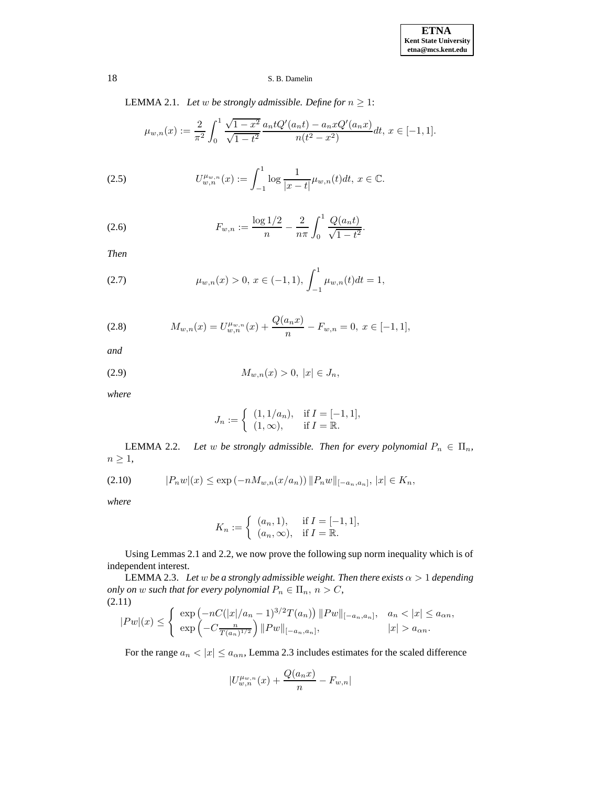LEMMA 2.1. *Let*  $w$  *be strongly admissible. Define for*  $n \geq 1$ :

$$
\mu_{w,n}(x) := \frac{2}{\pi^2} \int_0^1 \frac{\sqrt{1-x^2}}{\sqrt{1-t^2}} \frac{a_n t Q'(a_n t) - a_n x Q'(a_n x)}{n(t^2 - x^2)} dt, \ x \in [-1, 1].
$$

(2.5) 
$$
U_{w,n}^{\mu_{w,n}}(x) := \int_{-1}^{1} \log \frac{1}{|x-t|} \mu_{w,n}(t) dt, \ x \in \mathbb{C}.
$$

(2.6) 
$$
F_{w,n} := \frac{\log 1/2}{n} - \frac{2}{n\pi} \int_0^1 \frac{Q(a_n t)}{\sqrt{1 - t^2}}.
$$

*Then*

(2.7) 
$$
\mu_{w,n}(x) > 0, x \in (-1,1), \int_{-1}^{1} \mu_{w,n}(t) dt = 1,
$$

(2.8) 
$$
M_{w,n}(x) = U_{w,n}^{\mu_{w,n}}(x) + \frac{Q(a_n x)}{n} - F_{w,n} = 0, \ x \in [-1,1],
$$

*and*

(2.9) 
$$
M_{w,n}(x) > 0, |x| \in J_n,
$$

*where*

$$
J_n := \begin{cases} (1,1/a_n), & \text{if } I = [-1,1], \\ (1,\infty), & \text{if } I = \mathbb{R}. \end{cases}
$$

**LEMMA** 2.2. *Let w be strongly admissible. Then for every polynomial*  $P_n \in \Pi_n$ ,  $n \geq 1$ ,

$$
(2.10) \t\t |P_n w|(x) \le \exp(-n M_{w,n}(x/a_n)) ||P_n w||_{[-a_n, a_n]}, |x| \in K_n,
$$

*where*

$$
K_n := \begin{cases} (a_n, 1), & \text{if } I = [-1, 1], \\ (a_n, \infty), & \text{if } I = \mathbb{R}. \end{cases}
$$

Using Lemmas 2.1 and 2.2, we now prove the following sup norm inequality which is of independent interest.

LEMMA 2.3. *Let w be a strongly admissible weight. Then there exists*  $\alpha > 1$  *depending only on w such that for every polynomial*  $P_n \in \Pi_n$ ,  $n > C$ , (2.11)

$$
|Pw|(x) \leq \begin{cases} \exp(-nC(|x|/a_n-1)^{3/2}T(a_n)) ||Pw||_{[-a_n,a_n]}, & a_n < |x| \leq a_{\alpha n}, \\ \exp(-C\frac{n}{T(a_n)^{1/2}}) ||Pw||_{[-a_n,a_n]}, & |x| > a_{\alpha n}. \end{cases}
$$

For the range  $a_n < |x| \le a_{\alpha n}$ , Lemma 2.3 includes estimates for the scaled difference

$$
|U_{w,n}^{\mu_{w,n}}(x) + \frac{Q(a_n x)}{n} - F_{w,n}|
$$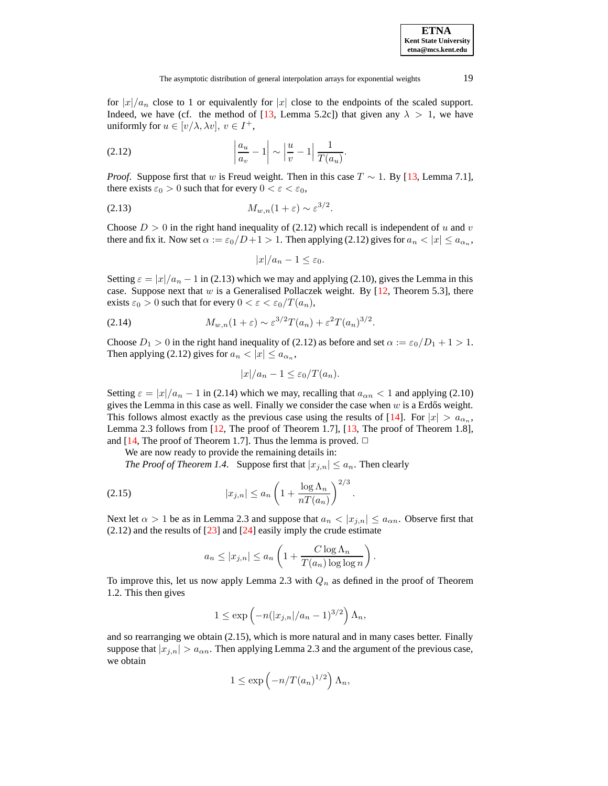for  $|x|/a_n$  close to 1 or equivalently for  $|x|$  close to the endpoints of the scaled support. Indeed, we have (cf. the method of [\[13,](#page-8-12) Lemma 5.2c]) that given any  $\lambda > 1$ , we have uniformly for  $u \in [v/\lambda, \lambda v]$ ,  $v \in I^+$ ,

$$
(2.12) \qquad \left|\frac{a_u}{a_v} - 1\right| \sim \left|\frac{u}{v} - 1\right| \frac{1}{T(a_u)}.
$$

*Proof.* Suppose first that w is Freud weight. Then in this case  $T \sim 1$ . By [\[13,](#page-8-12) Lemma 7.1], there exists  $\varepsilon_0 > 0$  such that for every  $0 < \varepsilon < \varepsilon_0$ ,

$$
(2.13) \t\t M_{w,n}(1+\varepsilon) \sim \varepsilon^{3/2}.
$$

Choose  $D > 0$  in the right hand inequality of (2.12) which recall is independent of u and v there and fix it. Now set  $\alpha := \varepsilon_0/D + 1 > 1$ . Then applying (2.12) gives for  $a_n < |x| \le a_{\alpha_n}$ ,

$$
|x|/a_n-1\leq \varepsilon_0.
$$

Setting  $\varepsilon = |x|/a_n - 1$  in (2.13) which we may and applying (2.10), gives the Lemma in this case. Suppose next that w is a Generalised Pollaczek weight. By  $[12,$  Theorem 5.3], there exists  $\varepsilon_0 > 0$  such that for every  $0 < \varepsilon < \varepsilon_0/T(a_n)$ ,

(2.14) 
$$
M_{w,n}(1+\varepsilon) \sim \varepsilon^{3/2} T(a_n) + \varepsilon^2 T(a_n)^{3/2}.
$$

Choose  $D_1 > 0$  in the right hand inequality of (2.12) as before and set  $\alpha := \epsilon_0/D_1 + 1 > 1$ . Then applying (2.12) gives for  $a_n < |x| \le a_{\alpha_n}$ ,

$$
|x|/a_n - 1 \le \varepsilon_0/T(a_n).
$$

Setting  $\varepsilon = |x|/a_n - 1$  in (2.14) which we may, recalling that  $a_{\alpha n} < 1$  and applying (2.10) gives the Lemma in this case as well. Finally we consider the case when  $w$  is a Erdős weight. This follows almost exactly as the previous case using the results of [\[14\]](#page-8-14). For  $|x| > a_{\alpha_n}$ , Lemma 2.3 follows from [\[12,](#page-8-13) The proof of Theorem 1.7], [\[13,](#page-8-12) The proof of Theorem 1.8], and [\[14,](#page-8-14) The proof of Theorem 1.7]. Thus the lemma is proved.  $\Box$ 

We are now ready to provide the remaining details in:

*The Proof of Theorem 1.4.* Suppose first that  $|x_{j,n}| \leq a_n$ . Then clearly

$$
(2.15) \t\t\t |x_{j,n}| \le a_n \left(1 + \frac{\log \Lambda_n}{nT(a_n)}\right)^{2/3}
$$

Next let  $\alpha > 1$  be as in Lemma 2.3 and suppose that  $a_n < |x_{j,n}| \le a_{\alpha n}$ . Observe first that  $(2.12)$  and the results of  $[23]$  and  $[24]$  easily imply the crude estimate

.

$$
a_n \le |x_{j,n}| \le a_n \left(1 + \frac{C \log \Lambda_n}{T(a_n) \log \log n}\right).
$$

To improve this, let us now apply Lemma 2.3 with  $Q_n$  as defined in the proof of Theorem 1.2. This then gives

$$
1 \le \exp\left(-n(|x_{j,n}|/a_n-1)^{3/2}\right)\Lambda_n,
$$

and so rearranging we obtain (2.15), which is more natural and in many cases better. Finally suppose that  $|x_{j,n}| > a_{\alpha n}$ . Then applying Lemma 2.3 and the argument of the previous case, we obtain

$$
1 \le \exp\left(-n/T(a_n)^{1/2}\right)\Lambda_n,
$$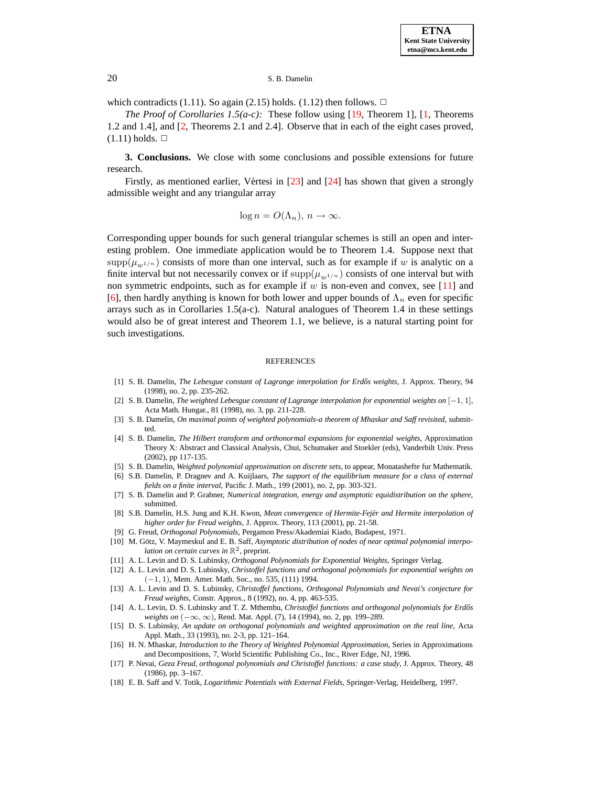which contradicts (1.11). So again (2.15) holds. (1.12) then follows.  $\Box$ 

*The Proof of Corollaries 1.5(a-c):* These follow using [\[19,](#page-9-0) Theorem 1], [\[1,](#page-8-0) Theorems 1.2 and 1.4], and [\[2,](#page-8-1) Theorems 2.1 and 2.4]. Observe that in each of the eight cases proved,  $(1.11)$  holds.  $\Box$ 

**3. Conclusions.** We close with some conclusions and possible extensions for future research.

Firstly, as mentioned earlier, Vértesi in  $[23]$  and  $[24]$  has shown that given a strongly admissible weight and any triangular array

 $\log n = O(\Lambda_n), n \to \infty.$ 

Corresponding upper bounds for such general triangular schemes is still an open and interesting problem. One immediate application would be to Theorem 1.4. Suppose next that  $\text{supp}(\mu_{w1/n})$  consists of more than one interval, such as for example if w is analytic on a finite interval but not necessarily convex or if  $\text{supp}(\mu_{m1/n})$  consists of one interval but with non symmetric endpoints, such as for example if  $w$  is non-even and convex, see [\[11\]](#page-8-15) and [\[6\]](#page-8-5), then hardly anything is known for both lower and upper bounds of  $\Lambda_n$  even for specific arrays such as in Corollaries 1.5(a-c). Natural analogues of Theorem 1.4 in these settings would also be of great interest and Theorem 1.1, we believe, is a natural starting point for such investigations.

#### REFERENCES

- <span id="page-8-1"></span><span id="page-8-0"></span>[1] S. B. Damelin, *The Lebesgue constant of Lagrange interpolation for Erdos˝ weights*, J. Approx. Theory, 94 (1998), no. 2, pp. 235-262.
- [2] S. B. Damelin, *The weighted Lebesgue constant of Lagrange interpolation for exponential weights on* [−1, 1], Acta Math. Hungar., 81 (1998), no. 3, pp. 211-228.
- [3] S. B. Damelin, *On maximal points of weighted polynomials-a theorem of Mhaskar and Saff revisited*, submitted.
- <span id="page-8-2"></span>[4] S. B. Damelin, *The Hilbert transform and orthonormal expansions for exponential weights*, Approximation Theory X: Abstract and Classical Analysis, Chui, Schumaker and Stoekler (eds), Vanderbilt Univ. Press (2002), pp 117-135.
- <span id="page-8-5"></span><span id="page-8-4"></span>[5] S. B. Damelin, *Weighted polynomial approximation on discrete sets*, to appear, Monatashefte fur Mathematik.
- [6] S.B. Damelin, P. Dragnev and A. Kuijlaars, *The support of the equilibrium measure for a class of external fields on a finite interval*, Pacific J. Math., 199 (2001), no. 2, pp. 303-321.
- [7] S. B. Damelin and P. Grabner, *Numerical integration, energy and asymptotic equidistribution on the sphere*, submitted.
- <span id="page-8-3"></span>[8] S.B. Damelin, H.S. Jung and K.H. Kwon, *Mean convergence of Hermite-Fejer´ and Hermite interpolation of higher order for Freud weights*, J. Approx. Theory, 113 (2001), pp. 21-58.
- [9] G. Freud, *Orthogonal Polynomials*, Pergamon Press/Akademiai Kiado, Budapest, 1971.
- <span id="page-8-7"></span><span id="page-8-6"></span>[10] M. Götz, V. Maymeskul and E. B. Saff, *Asymptotic distribution of nodes of near optimal polynomial interpolation on certain curves in* R 2 , preprint.
- <span id="page-8-15"></span><span id="page-8-13"></span>[11] A. L. Levin and D. S. Lubinsky, *Orthogonal Polynomials for Exponential Weights*, Springer Verlag.
- [12] A. L. Levin and D. S. Lubinsky, *Christoffel functions and orthogonal polynomials for exponential weights on* (−1, 1), Mem. Amer. Math. Soc., no. 535, (111) 1994.
- <span id="page-8-12"></span>[13] A. L. Levin and D. S. Lubinsky, *Christoffel functions, Orthogonal Polynomials and Nevai's conjecture for Freud weights*, Constr. Approx., 8 (1992), no. 4, pp. 463-535.
- <span id="page-8-14"></span>[14] A. L. Levin, D. S. Lubinsky and T. Z. Mthembu, *Christoffel functions and orthogonal polynomials for Erdos˝ weights on* (−∞, <sup>∞</sup>), Rend. Mat. Appl. (7), <sup>14</sup> (1994), no. 2, pp. 199–289.
- <span id="page-8-9"></span>[15] D. S. Lubinsky, *An update on orthogonal polynomials and weighted approximation on the real line*, Acta Appl. Math., 33 (1993), no. 2-3, pp. 121–164.
- <span id="page-8-10"></span>[16] H. N. Mhaskar, *Introduction to the Theory of Weighted Polynomial Approximation*, Series in Approximations and Decompositions, 7, World Scientific Publishing Co., Inc., River Edge, NJ, 1996.
- <span id="page-8-11"></span>[17] P. Nevai, *Geza Freud, orthogonal polynomials and Christoffel functions: a case study*, J. Approx. Theory, 48 (1986), pp. 3–167.
- <span id="page-8-8"></span>[18] E. B. Saff and V. Totik, *Logarithmic Potentials with External Fields*, Springer-Verlag, Heidelberg, 1997.